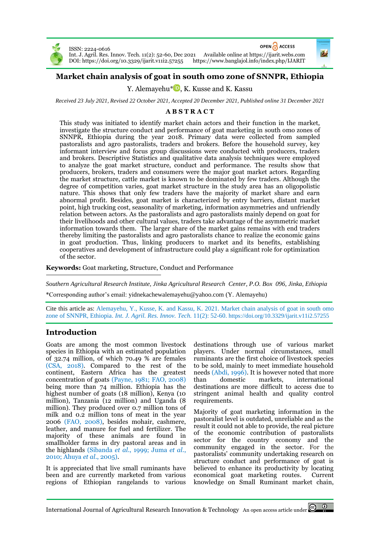

ISSN: 2224-0616



Int. J. Agril. Res. Innov. Tech. 11(2): 52-60, Dec 2021 Available online at [https://ijarit.webs.com](http://ijarit.webs.com/) DOI[: https://doi.org/10.3329/ijarit.v11i2.57255](https://doi.org/10.3329/ijarit.v11i2.57255)

# **Market chain analysis of goat in south omo zone of SNNPR, Ethiopia**

Y. Alemayehu<sup>[\\*](https://orcid.org/0000-0003-3365-8063)</sup> D, K. Kusse and K. Kassu

*Received 23 July 2021, Revised 22 October 2021, Accepted 20 December 2021, Published online 31 December 2021*

## **A B S T R A C T**

This study was initiated to identify market chain actors and their function in the market, investigate the structure conduct and performance of goat marketing in south omo zones of SNNPR, Ethiopia during the year 2018. Primary data were collected from sampled pastoralists and agro pastoralists, traders and brokers. Before the household survey, key informant interview and focus group discussions were conducted with producers, traders and brokers. Descriptive Statistics and qualitative data analysis techniques were employed to analyze the goat market structure, conduct and performance. The results show that producers, brokers, traders and consumers were the major goat market actors. Regarding the market structure, cattle market is known to be dominated by few traders. Although the degree of competition varies, goat market structure in the study area has an oligopolistic nature. This shows that only few traders have the majority of market share and earn abnormal profit. Besides, goat market is characterized by entry barriers, distant market point, high trucking cost, seasonality of marketing, information asymmetries and unfriendly relation between actors. As the pastoralists and agro pastoralists mainly depend on goat for their livelihoods and other cultural values, traders take advantage of the asymmetric market information towards them. The larger share of the market gains remains with end traders thereby limiting the pastoralists and agro pastoralists chance to realize the economic gains in goat production. Thus, linking producers to market and its benefits, establishing cooperatives and development of infrastructure could play a significant role for optimization of the sector.

**Keywords:** Goat marketing, Structure, Conduct and Performance

*Southern Agricultural Research Institute, Jinka Agricultural Research Center, P.O. Box 096, Jinka, Ethiopia*

\*Corresponding author's email: yidnekachewalemayehu@yahoo.com (Y. Alemayehu)

Cite this article as: Alemayehu, Y., Kusse, K. and Kassu, K. 2021. Market chain analysis of goat in south omo zone of SNNPR, Ethiopia. *Int. J. Agril. Res. Innov. Tech.* 11(2): 52-60. <https://doi.org/10.3329/ijarit.v11i2.57255>

## **Introduction**

Goats are among the most common livestock species in Ethiopia with an estimated population of 32.74 million, of which 70.49 % are females (CSA, 2018). Compared to the rest of the continent, Eastern Africa has the greatest concentration of goats (Payne, 1981; FAO, 2008) being more than 74 million. Ethiopia has the highest number of goats (18 million), Kenya (10 million), Tanzania (12 million) and Uganda (8 million). They produced over 0.7 million tons of milk and 0.2 million tons of meat in the year 2006 (FAO, 2008), besides mohair, cashmere, leather, and manure for fuel and fertilizer. The majority of these animals are found in smallholder farms in dry pastoral areas and in the highlands (Sibanda *et al*., 1999; Juma *et al.*, 2010; Ahuya *et al*., 2005).

It is appreciated that live small ruminants have been and are currently marketed from various regions of Ethiopian rangelands to various destinations through use of various market players. Under normal circumstances, small ruminants are the first choice of livestock species to be sold, mainly to meet immediate household needs (Abdi, 1996). It is however noted that more than domestic markets, international destinations are more difficult to access due to stringent animal health and quality control requirements.

Majority of goat marketing information in the pastoralist level is outdated, unreliable and as the result it could not able to provide, the real picture of the economic contribution of pastoralists sector for the country economy and the community engaged in the sector. For the pastoralists' community undertaking research on structure conduct and performance of goat is believed to enhance its productivity by locating economical goat marketing routes. Current knowledge on Small Ruminant market chain,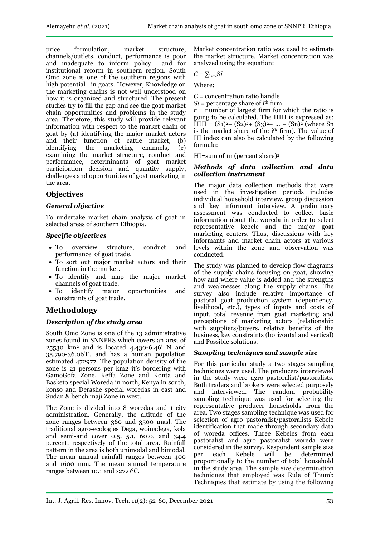price formulation, market structure, channels/outlets, conduct, performance is poor and inadequate to inform policy and for institutional reform in southern region. South Omo zone is one of the southern regions with high potential in goats. However, Knowledge on the marketing chains is not well understood on how it is organized and structured. The present studies try to fill the gap and see the goat market chain opportunities and problems in the study area. Therefore, this study will provide relevant information with respect to the market chain of goat by (a) identifying the major market actors and their function of cattle market, (b) identifying the marketing channels, (c) examining the market structure, conduct and performance, determinants of goat market participation decision and quantity supply, challenges and opportunities of goat marketing in the area.

## **Objectives**

## *General objective*

To undertake market chain analysis of goat in selected areas of southern Ethiopia.

## *Specific objectives*

- To overview structure, conduct and performance of goat trade.
- To sort out major market actors and their function in the market.
- To identify and map the major market channels of goat trade.
- To identify major opportunities and constraints of goat trade.

# **Methodology**

## *Description of the study area*

South Omo Zone is one of the 13 administrative zones found in SNNPRS which covers an area of 25530 km<sup>2</sup> and is located 4.430-6.46' N and 35.790-36.06'E, and has a human population estimated 472977. The population density of the zone is 21 persons per km2 it's bordering with GamoGofa Zone, Keffa Zone and Konta and Basketo special Woreda in north, Kenya in south, konso and Derashe special woredas in east and Sudan & bench maji Zone in west.

The Zone is divided into 8 woredas and 1 city administration. Generally, the altitude of the zone ranges between 360 and 3500 masl. The traditional agro-ecologies Dega, woinadega, kola and semi-arid cover 0.5, 5.1, 60.0, and 34.4 percent, respectively of the total area. Rainfall pattern in the area is both unimodal and bimodal. The mean annual rainfall ranges between 400 and 1600 mm. The mean annual temperature ranges between 10.1 and ›27.0°C.

Market concentration ratio was used to estimate the market structure. Market concentration was analyzed using the equation:

$$
C = \sum_{i=1}^{r} \mathbf{Si}
$$

Where**:**

*C* = concentration ratio handle

 $Si$  = percentage share of i<sup>th</sup> firm  $r =$  number of largest firm for which the ratio is going to be calculated. The HHI is expressed as:  $HHI = (S1)<sup>2</sup>+(S2)<sup>2</sup>+(S3)<sup>2</sup>+ ... + (Sn)<sup>2</sup>$  (where Sn is the market share of the *i*<sup>th</sup> firm). The value of HI index can also be calculated by the following formula:

HI=sum of 1n (percent share)<sup>2</sup>

#### *Methods of data collection and data collection instrument*

The major data collection methods that were used in the investigation periods includes individual household interview, group discussion and key informant interview. A preliminary assessment was conducted to collect basic information about the woreda in order to select representative kebele and the major goat marketing centers. Thus, discussions with key informants and market chain actors at various levels within the zone and observation was conducted.

The study was planned to develop flow diagrams of the supply chains focusing on goat, showing how and where value is added and the strengths and weaknesses along the supply chains. The survey also include relative importance of pastoral goat production system (dependency, livelihood, etc.), types of inputs and costs of input, total revenue from goat marketing and perceptions of marketing actors (relationship with suppliers/buyers, relative benefits of the business, key constraints (horizontal and vertical) and Possible solutions.

## *Sampling techniques and sample size*

For this particular study a two stages sampling techniques were used. The producers interviewed in the study were agro pastoralist/pastoralists. Both traders and brokers were selected purposely and interviewed. The random probability sampling technique was used for selecting the representative producer households from the area. Two stages sampling technique was used for selection of agro pastoralist/pastoralists Kebele identification that made through secondary data of woreda offices. Three Kebeles from each pastoralist and agro pastoralist woreda were considered in the survey. Respondent sample size per each Kebele will be determined proportionally to the number of total household in the study area. The sample size determination techniques that employed was Rule of Thumb Techniques that estimate by using the following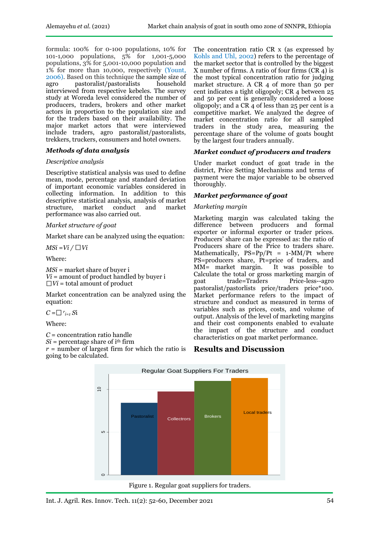formula: 100% for 0-100 populations, 10% for 101-1,000 populations, 5% for 1,001-5,000 populations, 3% for 5,001-10,000 population and 1% for more than 10,000, respectively (Yount, 2006). Based on this technique the sample size of agro pastoralist/pastoralists household interviewed from respective kebeles. The survey study at Woreda level considered the number of producers, traders, brokers and other market actors in proportion to the population size and for the traders based on their availability. The major market actors that were interviewed include traders, agro pastoralist/pastoralists, trekkers, truckers, consumers and hotel owners.

## *Methods of data analysis*

#### *Descriptive analysis*

Descriptive statistical analysis was used to define mean, mode, percentage and standard deviation of important economic variables considered in collecting information. In addition to this descriptive statistical analysis, analysis of market structure, market conduct and performance was also carried out.

#### *Market structure of goat*

Market share can be analyzed using the equation:

 $MSi = Vi / \Box Vi$ 

Where:

*MSi* = market share of buver i  $Vi =$  amount of product handled by buyer i  $\Box Vi$  = total amount of product

Market concentration can be analyzed using the equation:

 $C = \Box r_{i=1} S$ i

Where:

*C* = concentration ratio handle

 $Si$  = percentage share of  $i<sup>th</sup>$  firm

*r* = number of largest firm for which the ratio is **Results and Discussion**  going to be calculated.

The concentration ratio CR x (as expressed by Kohls and Uhl, 2002) refers to the percentage of the market sector that is controlled by the biggest X number of firms. A ratio of four firms  $(CR<sub>4</sub>)$  is the most typical concentration ratio for judging market structure. A CR 4 of more than 50 per cent indicates a tight oligopoly; CR 4 between 25 and 50 per cent is generally considered a loose oligopoly; and a CR 4 of less than 25 per cent is a competitive market. We analyzed the degree of market concentration ratio for all sampled traders in the study area, measuring the percentage share of the volume of goats bought by the largest four traders annually.

#### *Market conduct of producers and traders*

Under market conduct of goat trade in the district, Price Setting Mechanisms and terms of payment were the major variable to be observed thoroughly.

#### *Market performance of goat*

#### *Marketing margin*

Marketing margin was calculated taking the difference between producers and formal exporter or informal exporter or trader prices. Producers' share can be expressed as: the ratio of Producers share of the Price to traders share. Mathematically,  $PS=Pp/Pt = 1-MM/Pt$  where PS=producers share, Pt=price of traders, and MM= market margin. It was possible to  $MM =$  market margin. Calculate the total or gross marketing margin of goat trade=Traders Price-less--agro pastoralist/pastorlists price/traders price\*100. Market performance refers to the impact of structure and conduct as measured in terms of variables such as prices, costs, and volume of output. Analysis of the level of marketing margins and their cost components enabled to evaluate the impact of the structure and conduct characteristics on goat market performance.



Figure 1. Regular goat suppliers for traders.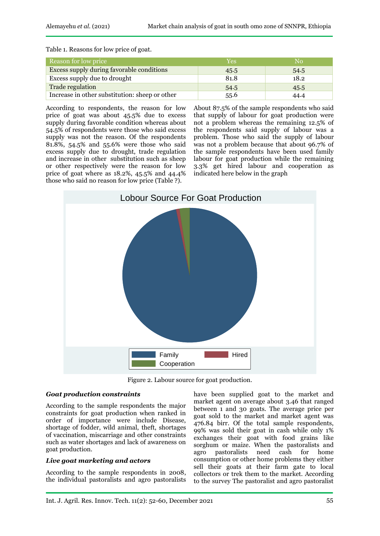Table 1. Reasons for low price of goat.

| Reason for low price                           | Yes  | No   |
|------------------------------------------------|------|------|
| Excess supply during favorable conditions      | 45.5 | 54.5 |
| Excess supply due to drought                   | 81.8 | 18.2 |
| Trade regulation                               | 54.5 | 45.5 |
| Increase in other substitution: sheep or other | 55.6 | 44.4 |

According to respondents, the reason for low price of goat was about 45.5% due to excess supply during favorable condition whereas about 54.5% of respondents were those who said excess supply was not the reason. Of the respondents 81.8%, 54.5% and 55.6% were those who said excess supply due to drought, trade regulation and increase in other substitution such as sheep or other respectively were the reason for low price of goat where as 18.2%, 45.5% and 44.4% those who said no reason for low price (Table ?).

About 87.5% of the sample respondents who said that supply of labour for goat production were not a problem whereas the remaining 12.5% of the respondents said supply of labour was a problem. Those who said the supply of labour was not a problem because that about 96.7% of the sample respondents have been used family labour for goat production while the remaining 3.3% get hired labour and cooperation as indicated here below in the graph



Figure 2. Labour source for goat production.

## *Goat production constraints*

According to the sample respondents the major constraints for goat production when ranked in order of importance were include Disease, shortage of fodder, wild animal, theft, shortages of vaccination, miscarriage and other constraints such as water shortages and lack of awareness on goat production.

## *Live goat marketing and actors*

According to the sample respondents in 2008, the individual pastoralists and agro pastoralists have been supplied goat to the market and market agent on average about 3.46 that ranged between 1 and 30 goats. The average price per goat sold to the market and market agent was 476.84 birr. Of the total sample respondents, 99% was sold their goat in cash while only 1% exchanges their goat with food grains like sorghum or maize. When the pastoralists and agro pastoralists need cash for home consumption or other home problems they either sell their goats at their farm gate to local collectors or trek them to the market. According to the survey The pastoralist and agro pastoralist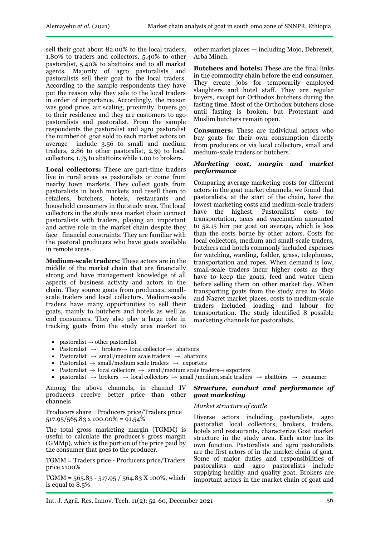sell their goat about 82.00% to the local traders, 1.80% to traders and collectors, 5.40% to other pastoralist, 5.40% to abattoirs and to all market agents. Majority of agro pastoralists and pastoralists sell their goat to the local traders. According to the sample respondents they have put the reason why they sale to the local traders in order of importance. Accordingly, the reason was good price, air scaling, proximity, buyers go to their residence and they are customers to ago pastoralists and pastoralist. From the sample respondents the pastoralist and agro pastoralist the number of goat sold to each market actors on average include 3.56 to small and medium traders, 2.86 to other pastoralist, 2.39 to local collectors, 1.75 to abattoirs while 1.00 to brokers.

**Local collectors:** These are part-time traders live in rural areas as pastoralists or come from nearby town markets. They collect goats from pastoralists in bush markets and resell them to retailers, butchers, hotels, restaurants and household consumers in the study area. The local collectors in the study area market chain connect pastoralists with traders, playing an important and active role in the market chain despite they face financial constraints. They are familiar with the pastoral producers who have goats available in remote areas.

**Medium-scale traders:** These actors are in the middle of the market chain that are financially strong and have management knowledge of all aspects of business activity and actors in the chain. They source goats from producers, smallscale traders and local collectors. Medium-scale traders have many opportunities to sell their goats, mainly to butchers and hotels as well as end consumers. They also play a large role in tracking goats from the study area market to

- pastoralist  $\rightarrow$  other pastoralist
- Pastoralist  $\rightarrow$  brokers $\rightarrow$  local collector  $\rightarrow$  abattoirs
- Pastoralist  $\rightarrow$  small/medium scale traders  $\rightarrow$  abattoirs
- Pastoralist  $\rightarrow$  small/medium scale traders  $\rightarrow$  exporters
- Pastoralist  $\rightarrow$  local collectors  $\rightarrow$  small/medium scale traders $\rightarrow$  exporters
- pastoralist  $\rightarrow$  brokers  $\rightarrow$  local collectors  $\rightarrow$  small /medium scale traders  $\rightarrow$  abattoirs  $\rightarrow$  consumer

Among the above channels, in channel IV producers receive better price than other channels

Producers share =Producers price/Traders price  $517.95/565.83 \times 100.00\% = 91.54\%$ 

The total gross marketing margin (TGMM) is useful to calculate the producer's gross margin (GMMp), which is the portion of the price paid by the consumer that goes to the producer.

TGMM = Traders price - Producers price/Traders price x100%

TGMM =  $565.83 - 517.95 / 564.83 X 100\%$ , which is equal to 8.5%

other market places — including Mojo, Debrezeit, Arba Minch.

**Butchers and hotels:** These are the final links in the commodity chain before the end consumer. They create jobs for temporarily employed slaughters and hotel staff. They are regular buyers, except for Orthodox butchers during the fasting time. Most of the Orthodox butchers close until fasting is broken, but Protestant and Muslim butchers remain open.

**Consumers:** These are individual actors who buy goats for their own consumption directly from producers or via local collectors, small and medium-scale traders or butchers.

#### *Marketing cost, margin and market performance*

Comparing average marketing costs for different actors in the goat market channels, we found that pastoralists, at the start of the chain, have the lowest marketing costs and medium-scale traders have the highest. Pastoralists' costs for transportation, taxes and vaccination amounted to 52.15 birr per goat on average, which is less than the costs borne by other actors. Costs for local collectors, medium and small-scale traders, butchers and hotels commonly included expenses for watching, warding, fodder, grass, telephones, transportation and ropes. When demand is low, small-scale traders incur higher costs as they have to keep the goats, feed and water them before selling them on other market day. When transporting goats from the study area to Mojo and Nazret market places, costs to medium-scale traders included loading and labour for transportation. The study identified 8 possible marketing channels for pastoralists.

## *Structure, conduct and performance of goat marketing*

#### *Market structure of cattle*

Diverse actors including pastoralists, agro pastoralist local collectors, brokers, traders, hotels and restaurants, characterize Goat market structure in the study area. Each actor has its own function. Pastoralists and agro pastoralists are the first actors of in the market chain of goat. Some of major duties and responsibilities of pastoralists and agro pastoralists include supplying healthy and quality goat. Brokers are important actors in the market chain of goat and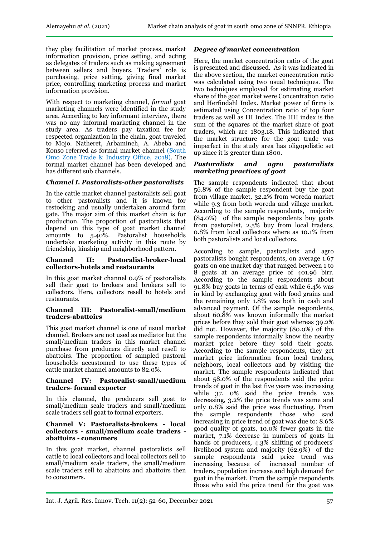they play facilitation of market process, market information provision, price setting, and acting as delegates of traders such as making agreement between sellers and buyers. Traders' role is purchasing, price setting, giving final market price, controlling marketing process and market information provision.

With respect to marketing channel, *formal* goat marketing channels were identified in the study area. According to key informant interview, there was no any informal marketing channel in the study area. As traders pay taxation fee for respected organization in the chain, goat traveled to Mojo. Natheret, Arbaminch, A. Abeba and Konso referred as formal market channel (South Omo Zone Trade & Industry Office, 2018). The formal market channel has been developed and has different sub channels.

## *Channel I. Pastoralists-other pastoralists*

In the cattle market channel pastoralists sell goat to other pastoralists and it is known for restocking and usually undertaken around farm gate. The major aim of this market chain is for production. The proportion of pastoralists that depend on this type of goat market channel amounts to 5.40%. Pastoralist households undertake marketing activity in this route by friendship, kinship and neighborhood pattern.

#### **Channel II: Pastoralist-broker-local collectors-hotels and restaurants**

In this goat market channel 0.9% of pastoralists sell their goat to brokers and brokers sell to collectors. Here, collectors resell to hotels and restaurants.

#### **Channel III: Pastoralist-small/medium traders-abattoirs**

This goat market channel is one of usual market channel. Brokers are not used as mediator but the small/medium traders in this market channel purchase from producers directly and resell to abattoirs. The proportion of sampled pastoral households accustomed to use these types of cattle market channel amounts to 82.0%.

#### **Channel IV: Pastoralist-small/medium traders- formal exporter**

In this channel, the producers sell goat to small/medium scale traders and small/medium scale traders sell goat to formal exporters.

#### **Channel V: Pastoralists-brokers - local collectors - small/medium scale traders abattoirs - consumers**

In this goat market, channel pastoralists sell cattle to local collectors and local collectors sell to small/medium scale traders, the small/medium scale traders sell to abattoirs and abattoirs then to consumers.

#### *Degree of market concentration*

Here, the market concentration ratio of the goat is presented and discussed. As it was indicated in the above section, the market concentration ratio was calculated using two usual techniques. The two techniques employed for estimating market share of the goat market were Concentration ratio and Herfindahl Index. Market power of firms is estimated using Concentration ratio of top four traders as well as HI Index. The HH index is the sum of the squares of the market share of goat traders, which are 1803.18. This indicated that the market structure for the goat trade was imperfect in the study area has oligopolistic set up since it is greater than 1800.

#### *Pastoralists and agro pastoralists marketing practices of goat*

The sample respondents indicated that about 56.8% of the sample respondent buy the goat from village market, 32.2% from woreda market while 9.3 from both woreda and village market. According to the sample respondents, majority (84.0%) of the sample respondents buy goats from pastoralist, 2.5% buy from local traders, 0.8% from local collectors where as 10.1% from both pastoralists and local collectors.

According to sample, pastoralists and agro pastoralists bought respondents, on average 1.67 goats on one market day that ranged between 1 to 8 goats at an average price of 401.96 birr. According to the sample respondents about 91.8% buy goats in terms of cash while 6.4% was in kind by exchanging goat with food grains and the remaining only 1.8% was both in cash and advanced payment. Of the sample respondents, about 60.8% was known informally the market prices before they sold their goat whereas 39.2% did not. However, the majority (80.0%) of the sample respondents informally know the nearby market price before they sold their goats. According to the sample respondents, they get market price information from local traders, neighbors, local collectors and by visiting the market. The sample respondents indicated that about 58.0% of the respondents said the price trends of goat in the last five years was increasing while 37. 0% said the price trends was decreasing, 3.2% the price trends was same and only 0.8% said the price was fluctuating. From the sample respondents those who said increasing in price trend of goat was due to: 8.6% good quality of goats, 10.0% fewer goats in the market, 7.1% decrease in numbers of goats in hands of producers, 4.3% shifting of producers' livelihood system and majority (62.9%) of the sample respondents said price trend was increasing because of increased number of traders, population increase and high demand for goat in the market. From the sample respondents those who said the price trend for the goat was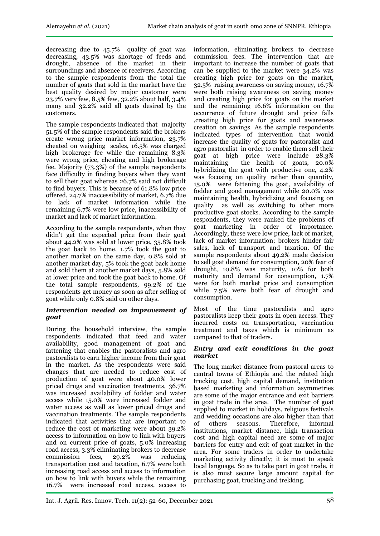decreasing due to 45.7% quality of goat was decreasing, 43.5% was shortage of feeds and drought, absence of the market in their surroundings and absence of receivers. According to the sample respondents from the total the number of goats that sold in the market have the best quality desired by major customer were 23.7% very few, 8.5% few, 32.2% about half, 3.4% many and 32.2% said all goats desired by the customers.

The sample respondents indicated that majority 51.5% of the sample respondents said the brokers create wrong price market information, 23.7% cheated on weighing scales, 16.5% was charged high brokerage fee while the remaining 8.3% were wrong price, cheating and high brokerage fee. Majority (73.3%) of the sample respondents face difficulty in finding buyers when they want to sell their goat whereas 26.7% said not difficult to find buyers. This is because of 61.8% low price offered, 24.7% inaccessibility of market, 6.7% due to lack of market information while the remaining 6.7% were low price, inaccessibility of market and lack of market information.

According to the sample respondents, when they didn't get the expected price from their goat about 44.2% was sold at lower price, 35.8% took the goat back to home, 1.7% took the goat to another market on the same day, 0.8% sold at another market day, 5% took the goat back home and sold them at another market days, 5.8% sold at lower price and took the goat back to home. Of the total sample respondents, 99.2% of the respondents get money as soon as after selling of goat while only 0.8% said on other days.

## *Intervention needed on improvement of goat*

During the household interview, the sample respondents indicated that feed and water availability, good management of goat and fattening that enables the pastoralists and agro pastoralists to earn higher income from their goat in the market. As the respondents were said changes that are needed to reduce cost of production of goat were about 40.0% lower priced drugs and vaccination treatments, 36.7% was increased availability of fodder and water access while 15.0% were increased fodder and water access as well as lower priced drugs and vaccination treatments. The sample respondents indicated that activities that are important to reduce the cost of marketing were about 39.2% access to information on how to link with buyers and on current price of goats, 5.0% increasing road access, 3.3% eliminating brokers to decrease commission fees, 29.2% was reducing transportation cost and taxation, 6.7% were both increasing road access and access to information on how to link with buyers while the remaining 16.7% were increased road access, access to

information, eliminating brokers to decrease commission fees. The intervention that are important to increase the number of goats that can be supplied to the market were 34.2% was creating high price for goats on the market, 32.5% raising awareness on saving money, 16.7% were both raising awareness on saving money and creating high price for goats on the market and the remaining 16.6% information on the occurrence of future drought and price falls ,creating high price for goats and awareness creation on savings. As the sample respondents indicated types of intervention that would increase the quality of goats for pastoralist and agro pastoralist in order to enable them sell their goat at high price were include 28.3% maintaining the health of goats, 20.0% hybridizing the goat with productive one, 4.2% was focusing on quality rather than quantity, 15.0% were fattening the goat, availability of fodder and good management while 20.0% was maintaining health, hybridizing and focusing on quality as well as switching to other more productive goat stocks. According to the sample respondents, they were ranked the problems of goat marketing in order of importance. Accordingly, these were low price, lack of market, lack of market information; brokers hinder fair sales, lack of transport and taxation. Of the sample respondents about 49.2% made decision to sell goat demand for consumption, 20% fear of drought, 10.8% was maturity, 10% for both maturity and demand for consumption, 1.7% were for both market price and consumption while 7.5% were both fear of drought and consumption.

Most of the time pastoralists and agro pastoralists keep their goats in open access. They incurred costs on transportation, vaccination treatment and taxes which is minimum as compared to that of traders.

## *Entry and exit conditions in the goat market*

The long market distance from pastoral areas to central towns of Ethiopia and the related high trucking cost, high capital demand, institution based marketing and information asymmetries are some of the major entrance and exit barriers in goat trade in the area. The number of goat supplied to market in holidays, religious festivals and wedding occasions are also higher than that of others seasons. Therefore, informal institutions, market distance, high transaction cost and high capital need are some of major barriers for entry and exit of goat market in the area. For some traders in order to undertake marketing activity directly; it is must to speak local language. So as to take part in goat trade, it is also must secure large amount capital for purchasing goat, trucking and trekking.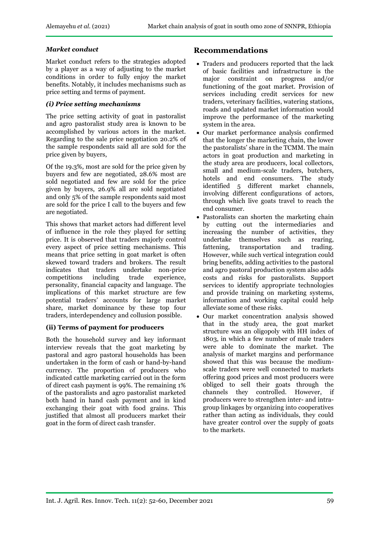## *Market conduct*

Market conduct refers to the strategies adopted by a player as a way of adjusting to the market conditions in order to fully enjoy the market benefits. Notably, it includes mechanisms such as price setting and terms of payment.

## *(i) Price setting mechanisms*

The price setting activity of goat in pastoralist and agro pastoralist study area is known to be accomplished by various actors in the market. Regarding to the sale price negotiation 20.2% of the sample respondents said all are sold for the price given by buyers,

Of the 19.3%, most are sold for the price given by buyers and few are negotiated, 28.6% most are sold negotiated and few are sold for the price given by buyers, 26.9% all are sold negotiated and only 5% of the sample respondents said most are sold for the price I call to the buyers and few are negotiated.

This shows that market actors had different level of influence in the role they played for setting price. It is observed that traders majorly control every aspect of price setting mechanisms. This means that price setting in goat market is often skewed toward traders and brokers. The result indicates that traders undertake non-price competitions including trade experience, personality, financial capacity and language. The implications of this market structure are few potential traders' accounts for large market share, market dominance by these top four traders, interdependency and collusion possible.

## **(ii) Terms of payment for producers**

Both the household survey and key informant interview reveals that the goat marketing by pastoral and agro pastoral households has been undertaken in the form of cash or hand-by-hand currency. The proportion of producers who indicated cattle marketing carried out in the form of direct cash payment is 99%. The remaining 1% of the pastoralists and agro pastoralist marketed both hand in hand cash payment and in kind exchanging their goat with food grains. This justified that almost all producers market their goat in the form of direct cash transfer.

## **Recommendations**

- Traders and producers reported that the lack of basic facilities and infrastructure is the major constraint on progress and/or functioning of the goat market. Provision of services including credit services for new traders, veterinary facilities, watering stations, roads and updated market information would improve the performance of the marketing system in the area.
- Our market performance analysis confirmed that the longer the marketing chain, the lower the pastoralists' share in the TCMM. The main actors in goat production and marketing in the study area are producers, local collectors, small and medium-scale traders, butchers, hotels and end consumers. The study identified 5 different market channels, involving different configurations of actors, through which live goats travel to reach the end consumer.
- Pastoralists can shorten the marketing chain by cutting out the intermediaries and increasing the number of activities, they undertake themselves such as rearing,<br>fattening, transportation and trading. transportation and trading. However, while such vertical integration could bring benefits, adding activities to the pastoral and agro pastoral production system also adds costs and risks for pastoralists. Support services to identify appropriate technologies and provide training on marketing systems, information and working capital could help alleviate some of these risks.
- Our market concentration analysis showed that in the study area, the goat market structure was an oligopoly with HH index of 1803, in which a few number of male traders were able to dominate the market. The analysis of market margins and performance showed that this was because the mediumscale traders were well connected to markets offering good prices and most producers were obliged to sell their goats through the channels they controlled. However, if producers were to strengthen inter- and intragroup linkages by organizing into cooperatives rather than acting as individuals, they could have greater control over the supply of goats to the markets.